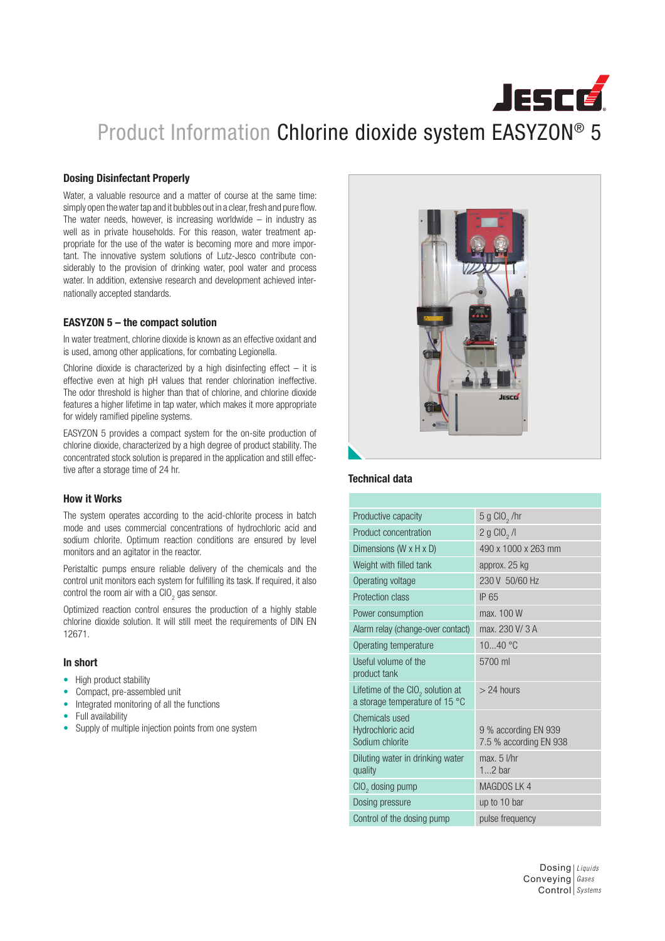# **JESCE** Product Information Chlorine dioxide system EASYZON® 5

### Dosing Disinfectant Properly

Water, a valuable resource and a matter of course at the same time: simply open the water tap and it bubbles out in a clear, fresh and pure flow. The water needs, however, is increasing worldwide  $-$  in industry as well as in private households. For this reason, water treatment appropriate for the use of the water is becoming more and more important. The innovative system solutions of Lutz-Jesco contribute considerably to the provision of drinking water, pool water and process water. In addition, extensive research and development achieved internationally accepted standards.

### EASYZON 5 – the compact solution

In water treatment, chlorine dioxide is known as an effective oxidant and is used, among other applications, for combating Legionella.

Chlorine dioxide is characterized by a high disinfecting effect  $-$  it is effective even at high pH values that render chlorination ineffective. The odor threshold is higher than that of chlorine, and chlorine dioxide features a higher lifetime in tap water, which makes it more appropriate for widely ramified pipeline systems.

EASYZON 5 provides a compact system for the on-site production of chlorine dioxide, characterized by a high degree of product stability. The concentrated stock solution is prepared in the application and still effective after a storage time of 24 hr.

### How it Works

The system operates according to the acid-chlorite process in batch mode and uses commercial concentrations of hydrochloric acid and sodium chlorite. Optimum reaction conditions are ensured by level monitors and an agitator in the reactor.

Peristaltic pumps ensure reliable delivery of the chemicals and the control unit monitors each system for fulfilling its task. If required, it also control the room air with a ClO<sub>2</sub> gas sensor.

Optimized reaction control ensures the production of a highly stable chlorine dioxide solution. It will still meet the requirements of DIN EN 12671.

### In short

- High product stability
- Compact, pre-assembled unit
- Integrated monitoring of all the functions
- Full availability
- Supply of multiple injection points from one system



## Technical data

| Productive capacity                                                  | $5 g$ CIO <sub>2</sub> /hr                     |
|----------------------------------------------------------------------|------------------------------------------------|
| Product concentration                                                | 2 g ClO <sub>2</sub> /l                        |
| Dimensions (W x H x D)                                               | 490 x 1000 x 263 mm                            |
| Weight with filled tank                                              | approx. 25 kg                                  |
| Operating voltage                                                    | 230 V 50/60 Hz                                 |
| Protection class                                                     | IP 65                                          |
| Power consumption                                                    | max, 100 W                                     |
| Alarm relay (change-over contact)                                    | max. 230 V/3 A                                 |
| Operating temperature                                                | 1040 °C                                        |
| Useful volume of the<br>product tank                                 | 5700 ml                                        |
| Lifetime of the $ClO2$ solution at<br>a storage temperature of 15 °C | $> 24$ hours                                   |
| Chemicals used<br>Hydrochloric acid<br>Sodium chlorite               | 9 % according EN 939<br>7.5 % according EN 938 |
| Diluting water in drinking water<br>quality                          | $max. 5$ I/hr<br>$12$ bar                      |
| CIO <sub>2</sub> dosing pump                                         | MAGDOS LK 4                                    |
| Dosing pressure                                                      | up to 10 bar                                   |
| Control of the dosing pump                                           | pulse frequency                                |

Dosing *Liquids* Conveying *Gases* Control *Systems*